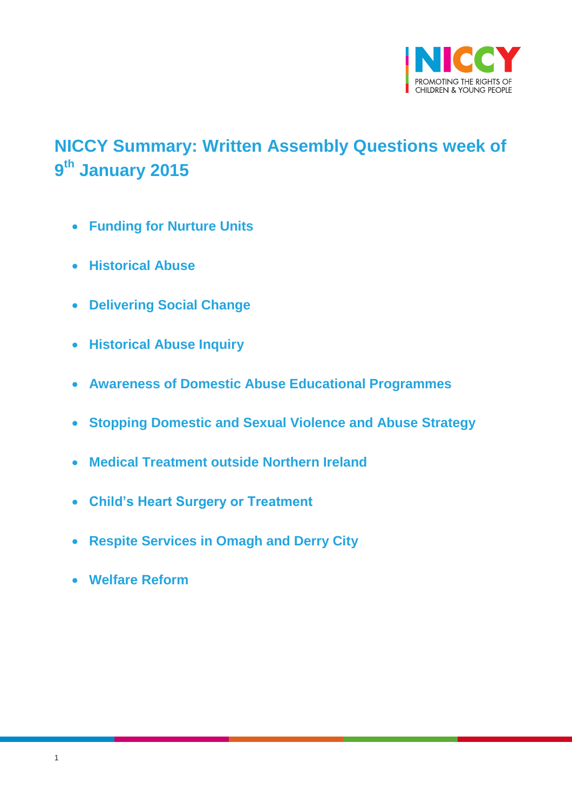

# <span id="page-0-0"></span>**NICCY Summary: Written Assembly Questions week of 9 th January 2015**

- **[Funding for Nurture Units](#page-1-0)**
- **[Historical Abuse](#page-1-1)**
- **[Delivering Social Change](#page-2-0)**
- **[Historical Abuse Inquiry](#page-2-1)**
- **[Awareness of Domestic Abuse Educational Programmes](#page-3-0)**
- **[Stopping Domestic and Sexual Violence and Abuse Strategy](#page-5-0)**
- **[Medical Treatment outside Northern Ireland](#page-5-1)**
- **[Child's Heart Surgery or Treatment](#page-6-0)**
- **[Respite Services in Omagh and Derry City](#page-6-1)**
- **[Welfare Reform](#page-7-0)**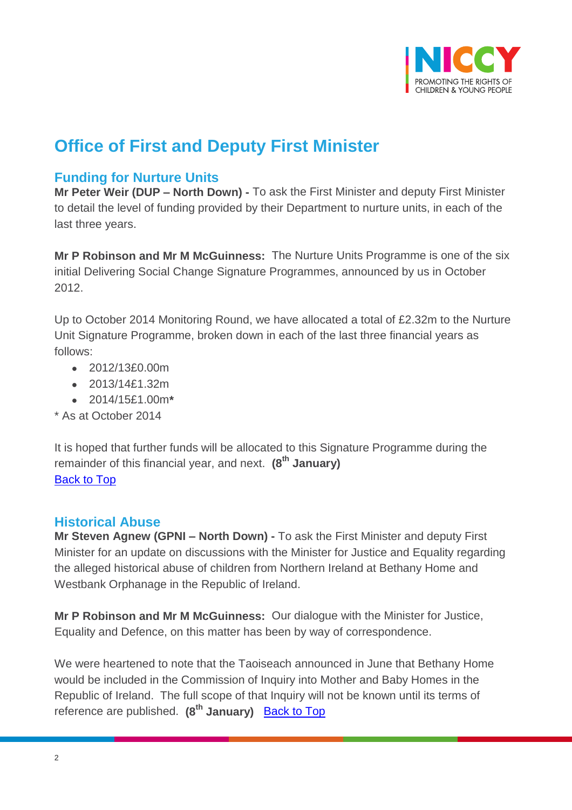

## **Office of First and Deputy First Minister**

### <span id="page-1-0"></span>**Funding for Nurture Units**

**Mr Peter Weir (DUP – North Down) -** To ask the First Minister and deputy First Minister to detail the level of funding provided by their Department to nurture units, in each of the last three years.

**Mr P Robinson and Mr M McGuinness:** The Nurture Units Programme is one of the six initial Delivering Social Change Signature Programmes, announced by us in October 2012.

Up to October 2014 Monitoring Round, we have allocated a total of £2.32m to the Nurture Unit Signature Programme, broken down in each of the last three financial years as follows:

- 2012/13£0.00m
- 2013/14£1.32m
- 2014/15£1.00m**\***
- \* As at October 2014

It is hoped that further funds will be allocated to this Signature Programme during the remainder of this financial year, and next. **(8th January)** [Back to Top](#page-0-0)

#### <span id="page-1-1"></span>**Historical Abuse**

**Mr Steven Agnew (GPNI – North Down) -** To ask the First Minister and deputy First Minister for an update on discussions with the Minister for Justice and Equality regarding the alleged historical abuse of children from Northern Ireland at Bethany Home and Westbank Orphanage in the Republic of Ireland.

**Mr P Robinson and Mr M McGuinness:** Our dialogue with the Minister for Justice, Equality and Defence, on this matter has been by way of correspondence.

We were heartened to note that the Taoiseach announced in June that Bethany Home would be included in the Commission of Inquiry into Mother and Baby Homes in the Republic of Ireland. The full scope of that Inquiry will not be known until its terms of reference are published. **(8th January)** [Back to Top](#page-0-0)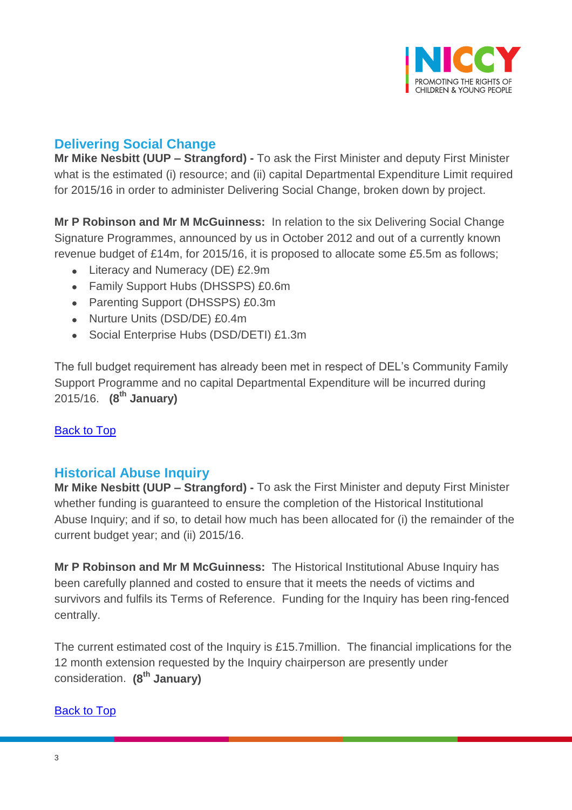

### <span id="page-2-0"></span>**Delivering Social Change**

**Mr Mike Nesbitt (UUP – Strangford) -** To ask the First Minister and deputy First Minister what is the estimated (i) resource; and (ii) capital Departmental Expenditure Limit required for 2015/16 in order to administer Delivering Social Change, broken down by project.

**Mr P Robinson and Mr M McGuinness:** In relation to the six Delivering Social Change Signature Programmes, announced by us in October 2012 and out of a currently known revenue budget of £14m, for 2015/16, it is proposed to allocate some £5.5m as follows;

- Literacy and Numeracy (DE) £2.9m
- Family Support Hubs (DHSSPS) £0.6m
- Parenting Support (DHSSPS) £0.3m
- Nurture Units (DSD/DE) £0.4m
- Social Enterprise Hubs (DSD/DETI) £1.3m

The full budget requirement has already been met in respect of DEL's Community Family Support Programme and no capital Departmental Expenditure will be incurred during 2015/16. **(8th January)**

#### [Back to Top](#page-0-0)

#### <span id="page-2-1"></span>**Historical Abuse Inquiry**

**Mr Mike Nesbitt (UUP – Strangford) -** To ask the First Minister and deputy First Minister whether funding is guaranteed to ensure the completion of the Historical Institutional Abuse Inquiry; and if so, to detail how much has been allocated for (i) the remainder of the current budget year; and (ii) 2015/16.

**Mr P Robinson and Mr M McGuinness:** The Historical Institutional Abuse Inquiry has been carefully planned and costed to ensure that it meets the needs of victims and survivors and fulfils its Terms of Reference. Funding for the Inquiry has been ring-fenced centrally.

The current estimated cost of the Inquiry is £15.7million. The financial implications for the 12 month extension requested by the Inquiry chairperson are presently under consideration. **(8th January)**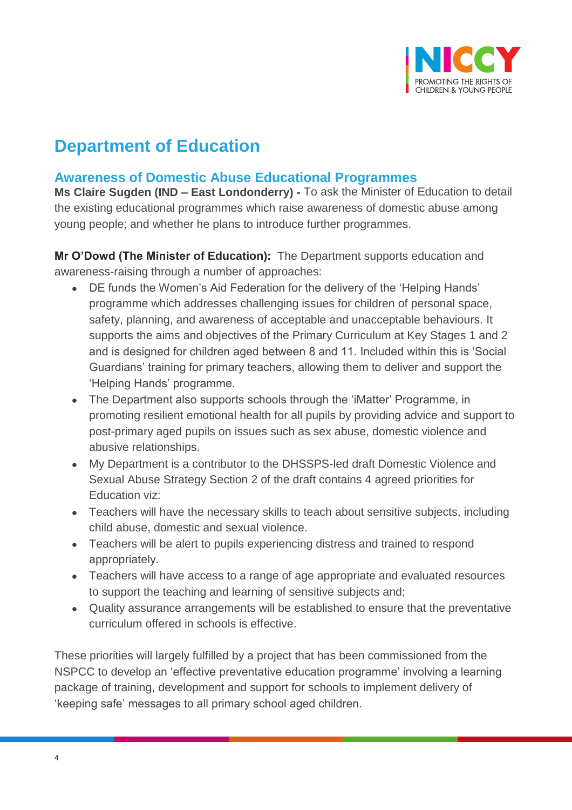

## **Department of Education**

#### <span id="page-3-0"></span>**Awareness of Domestic Abuse Educational Programmes**

**Ms Claire Sugden (IND – East Londonderry) -** To ask the Minister of Education to detail the existing educational programmes which raise awareness of domestic abuse among young people; and whether he plans to introduce further programmes.

**Mr O'Dowd (The Minister of Education):** The Department supports education and awareness-raising through a number of approaches:

- DE funds the Women's Aid Federation for the delivery of the 'Helping Hands' programme which addresses challenging issues for children of personal space, safety, planning, and awareness of acceptable and unacceptable behaviours. It supports the aims and objectives of the Primary Curriculum at Key Stages 1 and 2 and is designed for children aged between 8 and 11. Included within this is 'Social Guardians' training for primary teachers, allowing them to deliver and support the 'Helping Hands' programme.
- The Department also supports schools through the 'iMatter' Programme, in promoting resilient emotional health for all pupils by providing advice and support to post-primary aged pupils on issues such as sex abuse, domestic violence and abusive relationships.
- My Department is a contributor to the DHSSPS-led draft Domestic Violence and Sexual Abuse Strategy Section 2 of the draft contains 4 agreed priorities for Education viz:
- Teachers will have the necessary skills to teach about sensitive subjects, including child abuse, domestic and sexual violence.
- Teachers will be alert to pupils experiencing distress and trained to respond appropriately.
- Teachers will have access to a range of age appropriate and evaluated resources to support the teaching and learning of sensitive subjects and;
- Quality assurance arrangements will be established to ensure that the preventative curriculum offered in schools is effective.

These priorities will largely fulfilled by a project that has been commissioned from the NSPCC to develop an 'effective preventative education programme' involving a learning package of training, development and support for schools to implement delivery of 'keeping safe' messages to all primary school aged children.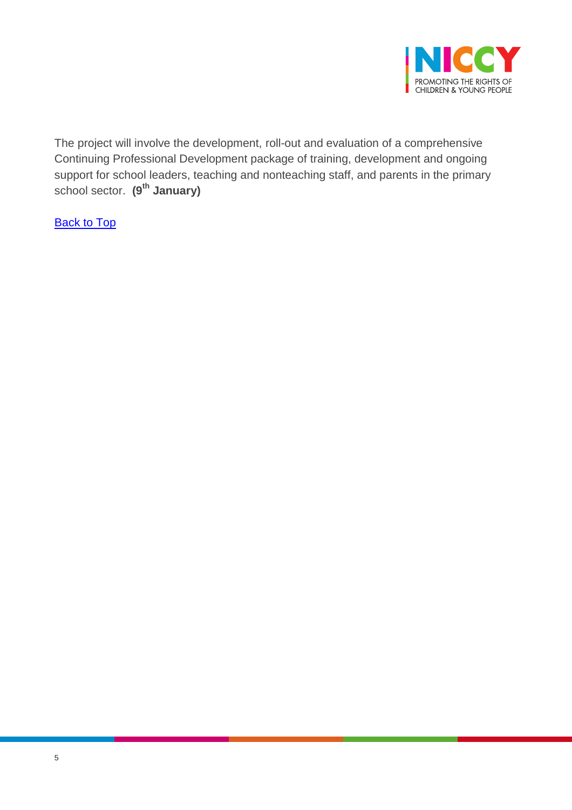

The project will involve the development, roll-out and evaluation of a comprehensive Continuing Professional Development package of training, development and ongoing support for school leaders, teaching and nonteaching staff, and parents in the primary school sector. **(9th January)**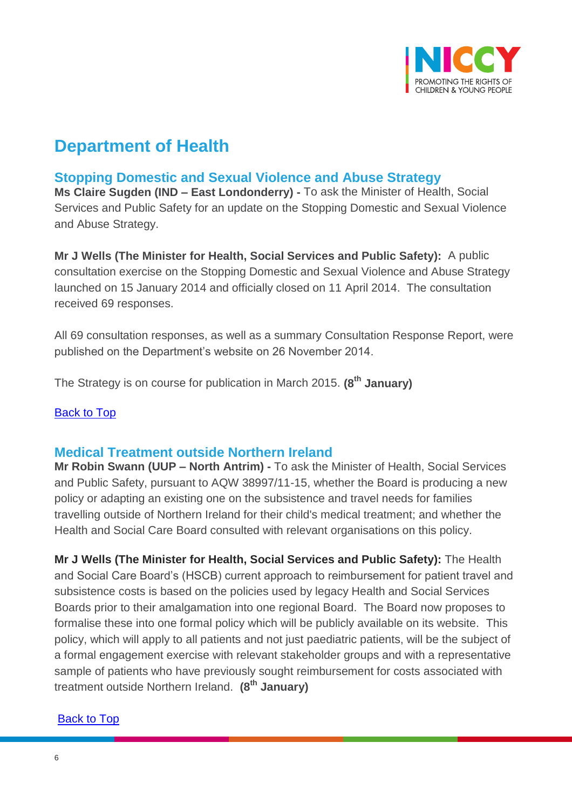

## **Department of Health**

### <span id="page-5-0"></span>**Stopping Domestic and Sexual Violence and Abuse Strategy**

**Ms Claire Sugden (IND – East Londonderry) -** To ask the Minister of Health, Social Services and Public Safety for an update on the Stopping Domestic and Sexual Violence and Abuse Strategy.

**Mr J Wells (The Minister for Health, Social Services and Public Safety):** A public consultation exercise on the Stopping Domestic and Sexual Violence and Abuse Strategy launched on 15 January 2014 and officially closed on 11 April 2014. The consultation received 69 responses.

All 69 consultation responses, as well as a summary Consultation Response Report, were published on the Department's website on 26 November 2014.

The Strategy is on course for publication in March 2015. **(8th January)**

[Back to Top](#page-0-0)

#### <span id="page-5-1"></span>**Medical Treatment outside Northern Ireland**

**Mr Robin Swann (UUP – North Antrim) -** To ask the Minister of Health, Social Services and Public Safety, pursuant to AQW 38997/11-15, whether the Board is producing a new policy or adapting an existing one on the subsistence and travel needs for families travelling outside of Northern Ireland for their child's medical treatment; and whether the Health and Social Care Board consulted with relevant organisations on this policy.

**Mr J Wells (The Minister for Health, Social Services and Public Safety):** The Health and Social Care Board's (HSCB) current approach to reimbursement for patient travel and subsistence costs is based on the policies used by legacy Health and Social Services Boards prior to their amalgamation into one regional Board. The Board now proposes to formalise these into one formal policy which will be publicly available on its website. This policy, which will apply to all patients and not just paediatric patients, will be the subject of a formal engagement exercise with relevant stakeholder groups and with a representative sample of patients who have previously sought reimbursement for costs associated with treatment outside Northern Ireland. **(8th January)**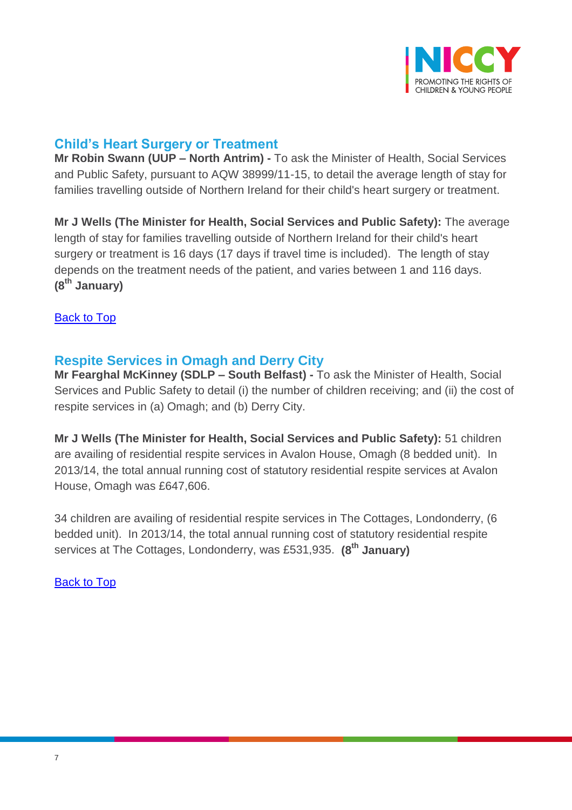

### <span id="page-6-0"></span>**Child's Heart Surgery or Treatment**

**Mr Robin Swann (UUP – North Antrim) -** To ask the Minister of Health, Social Services and Public Safety, pursuant to AQW 38999/11-15, to detail the average length of stay for families travelling outside of Northern Ireland for their child's heart surgery or treatment.

**Mr J Wells (The Minister for Health, Social Services and Public Safety):** The average length of stay for families travelling outside of Northern Ireland for their child's heart surgery or treatment is 16 days (17 days if travel time is included). The length of stay depends on the treatment needs of the patient, and varies between 1 and 116 days. **(8th January)**

[Back to Top](#page-0-0)

### <span id="page-6-1"></span>**Respite Services in Omagh and Derry City**

**Mr Fearghal McKinney (SDLP – South Belfast) -** To ask the Minister of Health, Social Services and Public Safety to detail (i) the number of children receiving; and (ii) the cost of respite services in (a) Omagh; and (b) Derry City.

**Mr J Wells (The Minister for Health, Social Services and Public Safety):** 51 children are availing of residential respite services in Avalon House, Omagh (8 bedded unit). In 2013/14, the total annual running cost of statutory residential respite services at Avalon House, Omagh was £647,606.

34 children are availing of residential respite services in The Cottages, Londonderry, (6 bedded unit). In 2013/14, the total annual running cost of statutory residential respite services at The Cottages, Londonderry, was £531,935. **(8th January)**